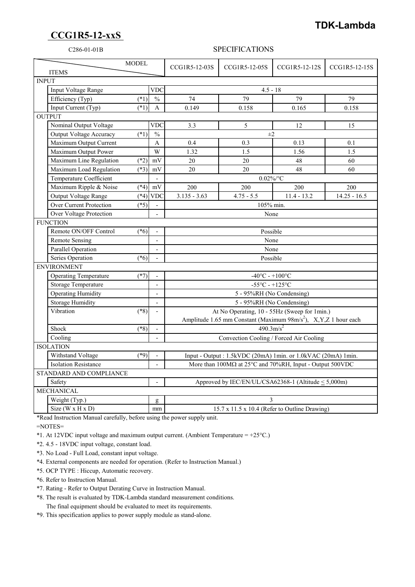## **CCG1R5-12-xxS**

## **TDK-Lambda**

## C286-01-01B SPECIFICATIONS

| <b>MODEL</b><br><b>ITEMS</b>   |                  |                          | CCG1R5-12-03S                                                                                              | CCG1R5-12-05S | CCG1R5-12-12S | CCG1R5-12-15S  |
|--------------------------------|------------------|--------------------------|------------------------------------------------------------------------------------------------------------|---------------|---------------|----------------|
| <b>INPUT</b>                   |                  |                          |                                                                                                            |               |               |                |
| Input Voltage Range            | $\overline{VDC}$ |                          | $4.5 - 18$                                                                                                 |               |               |                |
| Efficiency (Typ)               | $(*1)$           | $\frac{0}{6}$            | 74                                                                                                         | 79            | 79            | 79             |
| Input Current (Typ)            | $(*1)$           | $\mathbf{A}$             | 0.149                                                                                                      | 0.158         | 0.165         | 0.158          |
| <b>OUTPUT</b>                  |                  |                          |                                                                                                            |               |               |                |
| Nominal Output Voltage         |                  | VDC                      | 3.3                                                                                                        | 5             | 12            | 15             |
| Output Voltage Accuracy        | $(*1)$           | $\frac{0}{0}$            |                                                                                                            | $\pm 2$       |               |                |
| Maximum Output Current         |                  | $\mathbf{A}$             | 0.4                                                                                                        | 0.3           | 0.13          | 0.1            |
| Maximum Output Power           |                  | W                        | 1.32                                                                                                       | 1.5           | 1.56          | 1.5            |
| Maximum Line Regulation        | $(*2)$           | mV                       | 20                                                                                                         | 20            | 48            | 60             |
| Maximum Load Regulation        | $(*3)$           | mV                       | 20                                                                                                         | 20            | 48            | 60             |
| Temperature Coefficient        |                  | $\overline{\phantom{a}}$ | $0.02\%$ /°C                                                                                               |               |               |                |
| Maximum Ripple & Noise         | $(*4)$           | $\rm mV$                 | 200                                                                                                        | 200           | 200           | 200            |
| Output Voltage Range           | $(*4)$           | <b>VDC</b>               | $3.135 - 3.63$                                                                                             | $4.75 - 5.5$  | $11.4 - 13.2$ | $14.25 - 16.5$ |
| <b>Over Current Protection</b> | $(*5)$           |                          | 105% min.                                                                                                  |               |               |                |
| Over Voltage Protection        |                  |                          | None                                                                                                       |               |               |                |
| <b>FUNCTION</b>                |                  |                          |                                                                                                            |               |               |                |
| Remote ON/OFF Control          | $(*6)$           |                          | Possible                                                                                                   |               |               |                |
| Remote Sensing                 |                  | $\overline{a}$           | None                                                                                                       |               |               |                |
| <b>Parallel Operation</b>      |                  | $\overline{a}$           | None                                                                                                       |               |               |                |
| Series Operation               | $(*6)$           |                          | Possible                                                                                                   |               |               |                |
| <b>ENVIRONMENT</b>             |                  |                          |                                                                                                            |               |               |                |
| <b>Operating Temperature</b>   | $(*7)$           |                          | $-40^{\circ}$ C - $+100^{\circ}$ C                                                                         |               |               |                |
| Storage Temperature            |                  | $\overline{a}$           | $-55^{\circ}$ C - $+125^{\circ}$ C                                                                         |               |               |                |
| <b>Operating Humidity</b>      |                  |                          | 5 - 95%RH (No Condensing)                                                                                  |               |               |                |
| <b>Storage Humidity</b>        |                  | $\overline{\phantom{a}}$ | 5 - 95%RH (No Condensing)                                                                                  |               |               |                |
| Vibration                      | $(*8)$           | $\overline{a}$           | At No Operating, 10 - 55Hz (Sweep for 1min.)                                                               |               |               |                |
|                                |                  |                          | Amplitude 1.65 mm Constant (Maximum 98m/s <sup>2</sup> ), X,Y,Z 1 hour each                                |               |               |                |
| Shock                          | $(*8)$           |                          | $490.3 \text{m/s}^2$                                                                                       |               |               |                |
| Cooling                        |                  |                          | Convection Cooling / Forced Air Cooling                                                                    |               |               |                |
| <b>ISOLATION</b>               |                  |                          |                                                                                                            |               |               |                |
| Withstand Voltage              | $(*9)$           |                          | Input - Output: 1.5kVDC (20mA) 1min. or 1.0kVAC (20mA) 1min.                                               |               |               |                |
| <b>Isolation Resistance</b>    |                  |                          | More than $100\text{M}\Omega$ at $25^{\circ}\text{C}$ and $70\%$ RH, Input - Output $500\text{V}\text{DC}$ |               |               |                |
| STANDARD AND COMPLIANCE        |                  |                          |                                                                                                            |               |               |                |
| Safety                         |                  |                          | Approved by IEC/EN/UL/CSA62368-1 (Altitude < 5,000m)                                                       |               |               |                |
| <b>MECHANICAL</b>              |                  |                          |                                                                                                            |               |               |                |
| Weight (Typ.)                  |                  | g                        | 3                                                                                                          |               |               |                |
| Size ( $W \times H \times D$ ) |                  | mm                       | 15.7 x 11.5 x 10.4 (Refer to Outline Drawing)                                                              |               |               |                |

\*Read Instruction Manual carefully, before using the power supply unit.

=NOTES=

\*1. At 12VDC input voltage and maximum output current. (Ambient Temperature =  $+25^{\circ}$ C.)

\*2. 4.5 - 18VDC input voltage, constant load.

\*3. No Load - Full Load, constant input voltage.

\*4. External components are needed for operation. (Refer to Instruction Manual.)

\*5. OCP TYPE : Hiccup, Automatic recovery.

\*6. Refer to Instruction Manual.

\*7. Rating - Refer to Output Derating Curve in Instruction Manual.

 \*8. The result is evaluated by TDK-Lambda standard measurement conditions. The final equipment should be evaluated to meet its requirements.

\*9. This specification applies to power supply module as stand-alone.